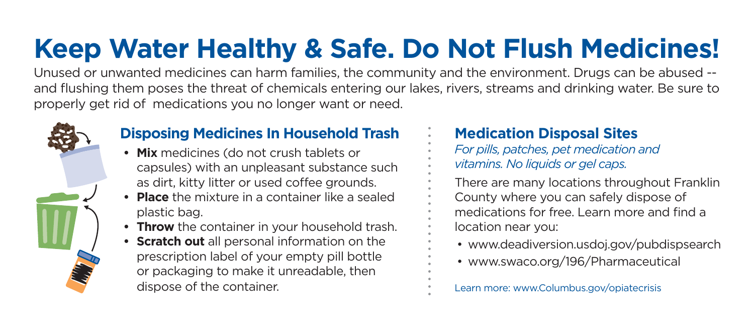# **Keep Water Healthy & Safe. Do Not Flush Medicines!**

Unused or unwanted medicines can harm families, the community and the environment. Drugs can be abused - and flushing them poses the threat of chemicals entering our lakes, rivers, streams and drinking water. Be sure to properly get rid of medications you no longer want or need.



### **Disposing Medicines In Household Trash**

- **Mix** medicines (do not crush tablets or capsules) with an unpleasant substance such as dirt, kitty litter or used coffee grounds.
- **Place** the mixture in a container like a sealed plastic bag.
- **Throw** the container in your household trash.
- **Scratch out** all personal information on the prescription label of your empty pill bottle or packaging to make it unreadable, then dispose of the container.

### **Medication Disposal Sites**

- *For pills, patches, pet medication and vitamins. No liquids or gel caps.*
- There are many locations throughout Franklin County where you can safely dispose of medications for free. Learn more and find a location near you:
	- www.deadiversion.usdoj.gov/pubdispsearch
	- www.swaco.org/196/Pharmaceutical

Learn more: www.Columbus.gov/opiatecrisis